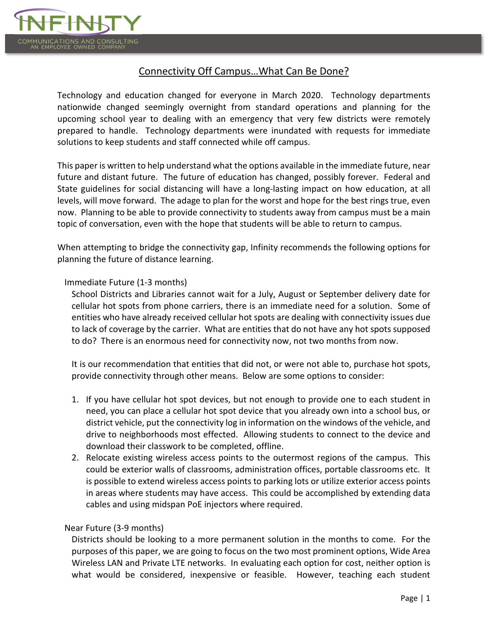

# Connectivity Off Campus…What Can Be Done?

Technology and education changed for everyone in March 2020. Technology departments nationwide changed seemingly overnight from standard operations and planning for the upcoming school year to dealing with an emergency that very few districts were remotely prepared to handle. Technology departments were inundated with requests for immediate solutions to keep students and staff connected while off campus.

This paper is written to help understand what the options available in the immediate future, near future and distant future. The future of education has changed, possibly forever. Federal and State guidelines for social distancing will have a long-lasting impact on how education, at all levels, will move forward. The adage to plan for the worst and hope for the best rings true, even now. Planning to be able to provide connectivity to students away from campus must be a main topic of conversation, even with the hope that students will be able to return to campus.

When attempting to bridge the connectivity gap, Infinity recommends the following options for planning the future of distance learning.

## Immediate Future (1-3 months)

School Districts and Libraries cannot wait for a July, August or September delivery date for cellular hot spots from phone carriers, there is an immediate need for a solution. Some of entities who have already received cellular hot spots are dealing with connectivity issues due to lack of coverage by the carrier. What are entities that do not have any hot spots supposed to do? There is an enormous need for connectivity now, not two months from now.

It is our recommendation that entities that did not, or were not able to, purchase hot spots, provide connectivity through other means. Below are some options to consider:

- 1. If you have cellular hot spot devices, but not enough to provide one to each student in need, you can place a cellular hot spot device that you already own into a school bus, or district vehicle, put the connectivity log in information on the windows of the vehicle, and drive to neighborhoods most effected. Allowing students to connect to the device and download their classwork to be completed, offline.
- 2. Relocate existing wireless access points to the outermost regions of the campus. This could be exterior walls of classrooms, administration offices, portable classrooms etc. It is possible to extend wireless access points to parking lots or utilize exterior access points in areas where students may have access. This could be accomplished by extending data cables and using midspan PoE injectors where required.

## Near Future (3-9 months)

Districts should be looking to a more permanent solution in the months to come. For the purposes of this paper, we are going to focus on the two most prominent options, Wide Area Wireless LAN and Private LTE networks. In evaluating each option for cost, neither option is what would be considered, inexpensive or feasible. However, teaching each student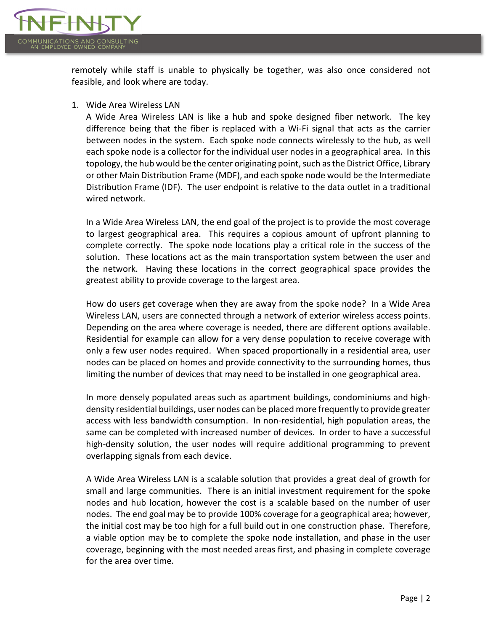

remotely while staff is unable to physically be together, was also once considered not feasible, and look where are today.

1. Wide Area Wireless LAN

A Wide Area Wireless LAN is like a hub and spoke designed fiber network. The key difference being that the fiber is replaced with a Wi-Fi signal that acts as the carrier between nodes in the system. Each spoke node connects wirelessly to the hub, as well each spoke node is a collector for the individual user nodes in a geographical area. In this topology, the hub would be the center originating point, such as the District Office, Library or other Main Distribution Frame (MDF), and each spoke node would be the Intermediate Distribution Frame (IDF). The user endpoint is relative to the data outlet in a traditional wired network.

In a Wide Area Wireless LAN, the end goal of the project is to provide the most coverage to largest geographical area. This requires a copious amount of upfront planning to complete correctly. The spoke node locations play a critical role in the success of the solution. These locations act as the main transportation system between the user and the network. Having these locations in the correct geographical space provides the greatest ability to provide coverage to the largest area.

How do users get coverage when they are away from the spoke node? In a Wide Area Wireless LAN, users are connected through a network of exterior wireless access points. Depending on the area where coverage is needed, there are different options available. Residential for example can allow for a very dense population to receive coverage with only a few user nodes required. When spaced proportionally in a residential area, user nodes can be placed on homes and provide connectivity to the surrounding homes, thus limiting the number of devices that may need to be installed in one geographical area.

In more densely populated areas such as apartment buildings, condominiums and highdensity residential buildings, user nodes can be placed more frequently to provide greater access with less bandwidth consumption. In non-residential, high population areas, the same can be completed with increased number of devices. In order to have a successful high-density solution, the user nodes will require additional programming to prevent overlapping signals from each device.

A Wide Area Wireless LAN is a scalable solution that provides a great deal of growth for small and large communities. There is an initial investment requirement for the spoke nodes and hub location, however the cost is a scalable based on the number of user nodes. The end goal may be to provide 100% coverage for a geographical area; however, the initial cost may be too high for a full build out in one construction phase. Therefore, a viable option may be to complete the spoke node installation, and phase in the user coverage, beginning with the most needed areas first, and phasing in complete coverage for the area over time.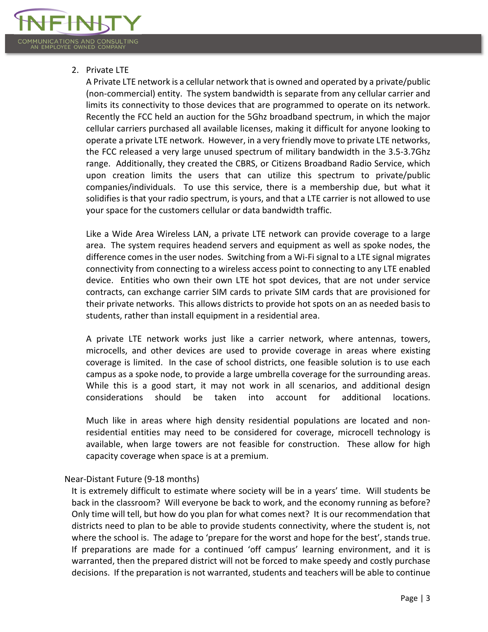

### 2. Private LTE

A Private LTE network is a cellular network that is owned and operated by a private/public (non-commercial) entity. The system bandwidth is separate from any cellular carrier and limits its connectivity to those devices that are programmed to operate on its network. Recently the FCC held an auction for the 5Ghz broadband spectrum, in which the major cellular carriers purchased all available licenses, making it difficult for anyone looking to operate a private LTE network. However, in a very friendly move to private LTE networks, the FCC released a very large unused spectrum of military bandwidth in the 3.5-3.7Ghz range. Additionally, they created the CBRS, or Citizens Broadband Radio Service, which upon creation limits the users that can utilize this spectrum to private/public companies/individuals. To use this service, there is a membership due, but what it solidifies is that your radio spectrum, is yours, and that a LTE carrier is not allowed to use your space for the customers cellular or data bandwidth traffic.

Like a Wide Area Wireless LAN, a private LTE network can provide coverage to a large area. The system requires headend servers and equipment as well as spoke nodes, the difference comes in the user nodes. Switching from a Wi-Fi signal to a LTE signal migrates connectivity from connecting to a wireless access point to connecting to any LTE enabled device. Entities who own their own LTE hot spot devices, that are not under service contracts, can exchange carrier SIM cards to private SIM cards that are provisioned for their private networks. This allows districts to provide hot spots on an as needed basis to students, rather than install equipment in a residential area.

A private LTE network works just like a carrier network, where antennas, towers, microcells, and other devices are used to provide coverage in areas where existing coverage is limited. In the case of school districts, one feasible solution is to use each campus as a spoke node, to provide a large umbrella coverage for the surrounding areas. While this is a good start, it may not work in all scenarios, and additional design considerations should be taken into account for additional locations.

Much like in areas where high density residential populations are located and nonresidential entities may need to be considered for coverage, microcell technology is available, when large towers are not feasible for construction. These allow for high capacity coverage when space is at a premium.

Near-Distant Future (9-18 months)

It is extremely difficult to estimate where society will be in a years' time. Will students be back in the classroom? Will everyone be back to work, and the economy running as before? Only time will tell, but how do you plan for what comes next? It is our recommendation that districts need to plan to be able to provide students connectivity, where the student is, not where the school is. The adage to 'prepare for the worst and hope for the best', stands true. If preparations are made for a continued 'off campus' learning environment, and it is warranted, then the prepared district will not be forced to make speedy and costly purchase decisions. If the preparation is not warranted, students and teachers will be able to continue